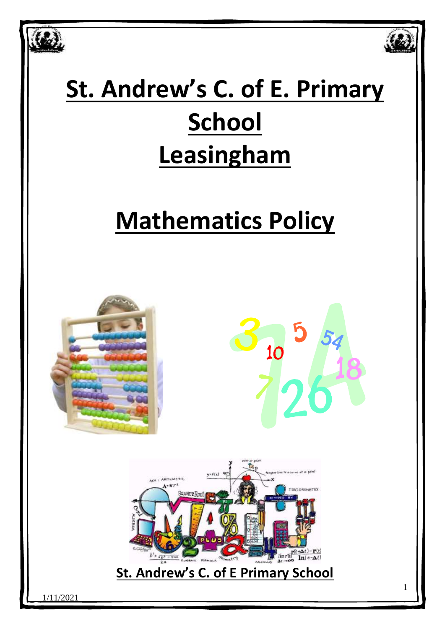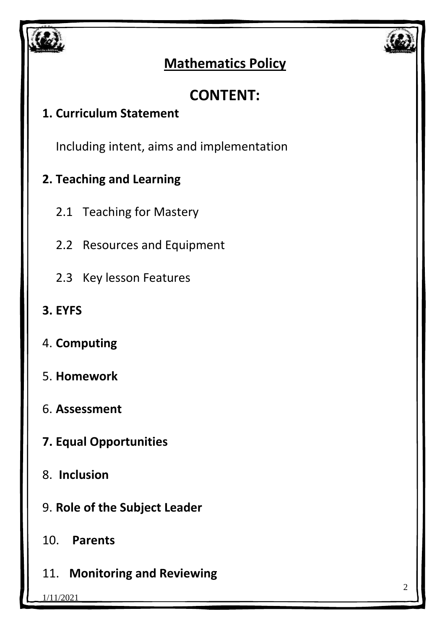



## **Mathematics Policy**

# **CONTENT:**

### **1. Curriculum Statement**

Including intent, aims and implementation

## **2. Teaching and Learning**

- 2.1 Teaching for Mastery
- 2.2 Resources and Equipment
- 2.3 Key lesson Features
- **3. EYFS**
- 4. **Computing**
- 5. **Homework**
- 6. **Assessment**
- **7. Equal Opportunities**
- 8. **Inclusion**
- 9. **Role of the Subject Leader**
- 10. **Parents**
- 11. **Monitoring and Reviewing**

1/11/2021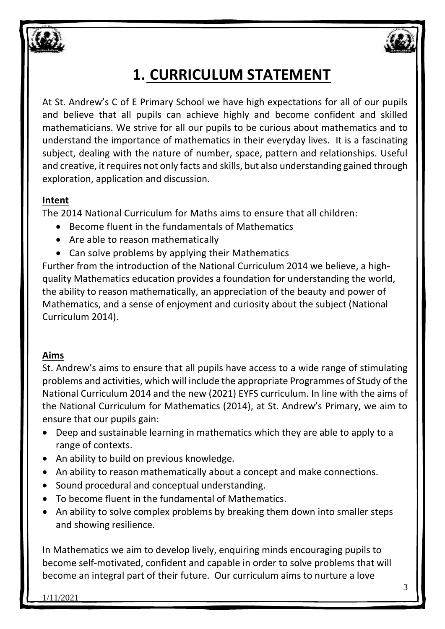

# **1. CURRICULUM STATEMENT**

At St. Andrew's C of E Primary School we have high expectations for all of our pupils and believe that all pupils can achieve highly and become confident and skilled mathematicians. We strive for all our pupils to be curious about mathematics and to understand the importance of mathematics in their everyday lives. It is a fascinating subject, dealing with the nature of number, space, pattern and relationships. Useful and creative, it requires not only facts and skills, but also understanding gained through exploration, application and discussion.

#### **Intent**

The 2014 National Curriculum for Maths aims to ensure that all children:

- Become fluent in the fundamentals of Mathematics
- Are able to reason mathematically
- Can solve problems by applying their Mathematics

Further from the introduction of the National Curriculum 2014 we believe, a highquality Mathematics education provides a foundation for understanding the world, the ability to reason mathematically, an appreciation of the beauty and power of Mathematics, and a sense of enjoyment and curiosity about the subject (National Curriculum 2014).

### **Aims**

St. Andrew's aims to ensure that all pupils have access to a wide range of stimulating problems and activities, which will include the appropriate Programmes of Study of the National Curriculum 2014 and the new (2021) EYFS curriculum. In line with the aims of the National Curriculum for Mathematics (2014), at St. Andrew's Primary, we aim to ensure that our pupils gain:

- Deep and sustainable learning in mathematics which they are able to apply to a range of contexts.
- An ability to build on previous knowledge.
- An ability to reason mathematically about a concept and make connections.
- Sound procedural and conceptual understanding.
- To become fluent in the fundamental of Mathematics.
- An ability to solve complex problems by breaking them down into smaller steps and showing resilience.

In Mathematics we aim to develop lively, enquiring minds encouraging pupils to become self-motivated, confident and capable in order to solve problems that will become an integral part of their future. Our curriculum aims to nurture a love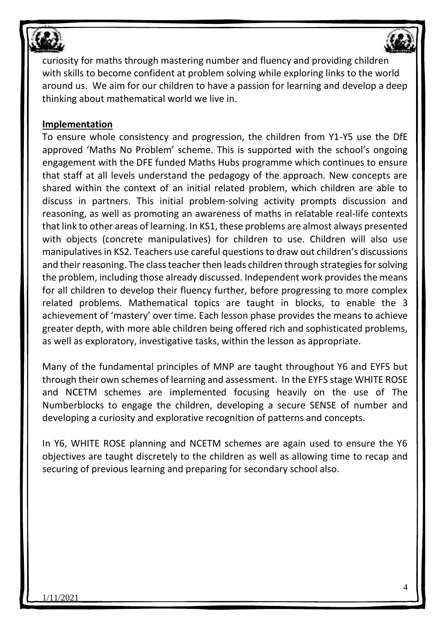



curiosity for maths through mastering number and fluency and providing children with skills to become confident at problem solving while exploring links to the world around us. We aim for our children to have a passion for learning and develop a deep thinking about mathematical world we live in.

#### **Implementation**

To ensure whole consistency and progression, the children from Y1-Y5 use the DfE approved 'Maths No Problem' scheme. This is supported with the school's ongoing engagement with the DFE funded Maths Hubs programme which continues to ensure that staff at all levels understand the pedagogy of the approach. New concepts are shared within the context of an initial related problem, which children are able to discuss in partners. This initial problem-solving activity prompts discussion and reasoning, as well as promoting an awareness of maths in relatable real-life contexts that link to other areas of learning. In KS1, these problems are almost always presented with objects (concrete manipulatives) for children to use. Children will also use manipulatives in KS2. Teachers use careful questions to draw out children's discussions and their reasoning. The class teacher then leads children through strategies for solving the problem, including those already discussed. Independent work provides the means for all children to develop their fluency further, before progressing to more complex related problems. Mathematical topics are taught in blocks, to enable the 3 achievement of 'mastery' over time. Each lesson phase provides the means to achieve greater depth, with more able children being offered rich and sophisticated problems, as well as exploratory, investigative tasks, within the lesson as appropriate.

Many of the fundamental principles of MNP are taught throughout Y6 and EYFS but through their own schemes of learning and assessment. In the EYFS stage WHITE ROSE and NCETM schemes are implemented focusing heavily on the use of The Numberblocks to engage the children, developing a secure SENSE of number and developing a curiosity and explorative recognition of patterns and concepts.

In Y6, WHITE ROSE planning and NCETM schemes are again used to ensure the Y6 objectives are taught discretely to the children as well as allowing time to recap and securing of previous learning and preparing for secondary school also.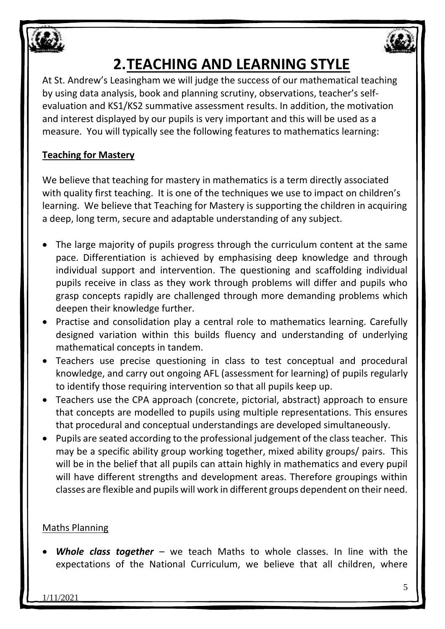



# **2.TEACHING AND LEARNING STYLE**

At St. Andrew's Leasingham we will judge the success of our mathematical teaching by using data analysis, book and planning scrutiny, observations, teacher's selfevaluation and KS1/KS2 summative assessment results. In addition, the motivation and interest displayed by our pupils is very important and this will be used as a measure. You will typically see the following features to mathematics learning:

### **Teaching for Mastery**

We believe that teaching for mastery in mathematics is a term directly associated with quality first teaching. It is one of the techniques we use to impact on children's learning. We believe that Teaching for Mastery is supporting the children in acquiring a deep, long term, secure and adaptable understanding of any subject.

- The large majority of pupils progress through the curriculum content at the same pace. Differentiation is achieved by emphasising deep knowledge and through individual support and intervention. The questioning and scaffolding individual pupils receive in class as they work through problems will differ and pupils who grasp concepts rapidly are challenged through more demanding problems which deepen their knowledge further.
- Practise and consolidation play a central role to mathematics learning. Carefully designed variation within this builds fluency and understanding of underlying mathematical concepts in tandem.
- Teachers use precise questioning in class to test conceptual and procedural knowledge, and carry out ongoing AFL (assessment for learning) of pupils regularly to identify those requiring intervention so that all pupils keep up.
- Teachers use the CPA approach (concrete, pictorial, abstract) approach to ensure that concepts are modelled to pupils using multiple representations. This ensures that procedural and conceptual understandings are developed simultaneously.
- Pupils are seated according to the professional judgement of the class teacher. This may be a specific ability group working together, mixed ability groups/ pairs. This will be in the belief that all pupils can attain highly in mathematics and every pupil will have different strengths and development areas. Therefore groupings within classes are flexible and pupils will work in different groups dependent on their need.

### Maths Planning

• *Whole class together* – we teach Maths to whole classes. In line with the expectations of the National Curriculum, we believe that all children, where

1/11/2021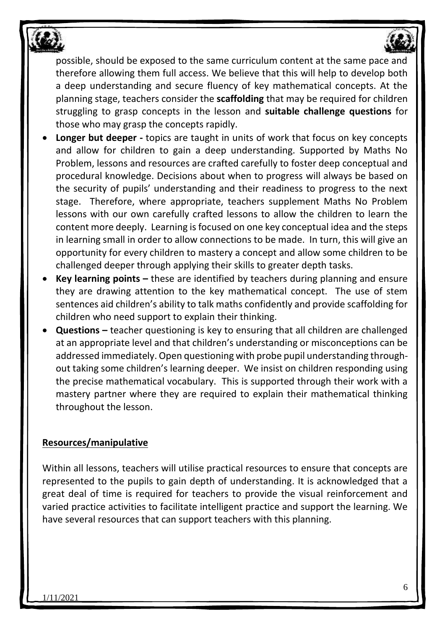

possible, should be exposed to the same curriculum content at the same pace and therefore allowing them full access. We believe that this will help to develop both a deep understanding and secure fluency of key mathematical concepts. At the planning stage, teachers consider the **scaffolding** that may be required for children struggling to grasp concepts in the lesson and **suitable challenge questions** for those who may grasp the concepts rapidly.

- **Longer but deeper -** topics are taught in units of work that focus on key concepts and allow for children to gain a deep understanding. Supported by Maths No Problem, lessons and resources are crafted carefully to foster deep conceptual and procedural knowledge. Decisions about when to progress will always be based on the security of pupils' understanding and their readiness to progress to the next stage. Therefore, where appropriate, teachers supplement Maths No Problem lessons with our own carefully crafted lessons to allow the children to learn the content more deeply. Learning is focused on one key conceptual idea and the steps in learning small in order to allow connections to be made. In turn, this will give an opportunity for every children to mastery a concept and allow some children to be challenged deeper through applying their skills to greater depth tasks.
- **Key learning points –** these are identified by teachers during planning and ensure they are drawing attention to the key mathematical concept. The use of stem sentences aid children's ability to talk maths confidently and provide scaffolding for children who need support to explain their thinking.
- **Questions –** teacher questioning is key to ensuring that all children are challenged at an appropriate level and that children's understanding or misconceptions can be addressed immediately. Open questioning with probe pupil understanding throughout taking some children's learning deeper. We insist on children responding using the precise mathematical vocabulary. This is supported through their work with a mastery partner where they are required to explain their mathematical thinking throughout the lesson.

#### **Resources/manipulative**

Within all lessons, teachers will utilise practical resources to ensure that concepts are represented to the pupils to gain depth of understanding. It is acknowledged that a great deal of time is required for teachers to provide the visual reinforcement and varied practice activities to facilitate intelligent practice and support the learning. We have several resources that can support teachers with this planning.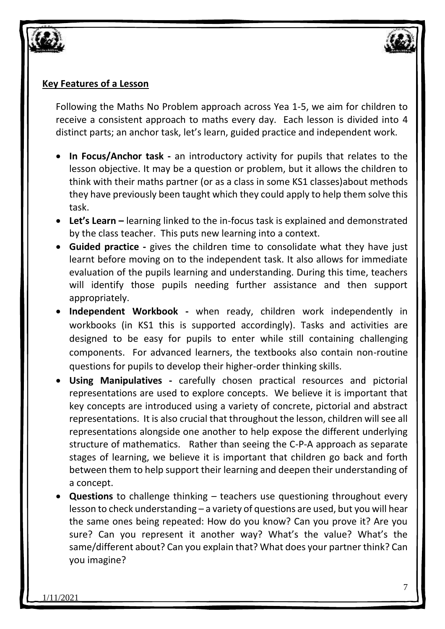

#### **Key Features of a Lesson**

Following the Maths No Problem approach across Yea 1-5, we aim for children to receive a consistent approach to maths every day. Each lesson is divided into 4 distinct parts; an anchor task, let's learn, guided practice and independent work.

- **In Focus/Anchor task -** an introductory activity for pupils that relates to the lesson objective. It may be a question or problem, but it allows the children to think with their maths partner (or as a class in some KS1 classes)about methods they have previously been taught which they could apply to help them solve this task.
- **Let's Learn –** learning linked to the in-focus task is explained and demonstrated by the class teacher. This puts new learning into a context.
- **Guided practice -** gives the children time to consolidate what they have just learnt before moving on to the independent task. It also allows for immediate evaluation of the pupils learning and understanding. During this time, teachers will identify those pupils needing further assistance and then support appropriately.
- **Independent Workbook -** when ready, children work independently in workbooks (in KS1 this is supported accordingly). Tasks and activities are designed to be easy for pupils to enter while still containing challenging components. For advanced learners, the textbooks also contain non-routine questions for pupils to develop their higher-order thinking skills.
- **Using Manipulatives -** carefully chosen practical resources and pictorial representations are used to explore concepts. We believe it is important that key concepts are introduced using a variety of concrete, pictorial and abstract representations. It is also crucial that throughout the lesson, children will see all representations alongside one another to help expose the different underlying structure of mathematics. Rather than seeing the C-P-A approach as separate stages of learning, we believe it is important that children go back and forth between them to help support their learning and deepen their understanding of a concept.
- **Questions** to challenge thinking teachers use questioning throughout every lesson to check understanding – a variety of questions are used, but you will hear the same ones being repeated: How do you know? Can you prove it? Are you sure? Can you represent it another way? What's the value? What's the same/different about? Can you explain that? What does your partner think? Can you imagine?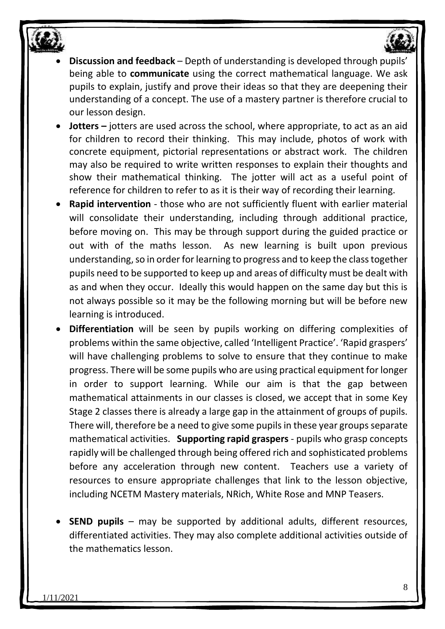

- **Discussion and feedback**  Depth of understanding is developed through pupils' being able to **communicate** using the correct mathematical language. We ask pupils to explain, justify and prove their ideas so that they are deepening their understanding of a concept. The use of a mastery partner is therefore crucial to our lesson design.
- **Jotters** jotters are used across the school, where appropriate, to act as an aid for children to record their thinking. This may include, photos of work with concrete equipment, pictorial representations or abstract work. The children may also be required to write written responses to explain their thoughts and show their mathematical thinking. The jotter will act as a useful point of reference for children to refer to as it is their way of recording their learning.
- **Rapid intervention**  those who are not sufficiently fluent with earlier material will consolidate their understanding, including through additional practice, before moving on. This may be through support during the guided practice or out with of the maths lesson. As new learning is built upon previous understanding, so in order for learning to progress and to keep the class together pupils need to be supported to keep up and areas of difficulty must be dealt with as and when they occur. Ideally this would happen on the same day but this is not always possible so it may be the following morning but will be before new learning is introduced.
- **Differentiation** will be seen by pupils working on differing complexities of problems within the same objective, called 'Intelligent Practice'. 'Rapid graspers' will have challenging problems to solve to ensure that they continue to make progress. There will be some pupils who are using practical equipment for longer in order to support learning. While our aim is that the gap between mathematical attainments in our classes is closed, we accept that in some Key Stage 2 classes there is already a large gap in the attainment of groups of pupils. There will, therefore be a need to give some pupils in these year groups separate mathematical activities. **Supporting rapid graspers** - pupils who grasp concepts rapidly will be challenged through being offered rich and sophisticated problems before any acceleration through new content. Teachers use a variety of resources to ensure appropriate challenges that link to the lesson objective, including NCETM Mastery materials, NRich, White Rose and MNP Teasers.
- **SEND pupils**  may be supported by additional adults, different resources, differentiated activities. They may also complete additional activities outside of the mathematics lesson.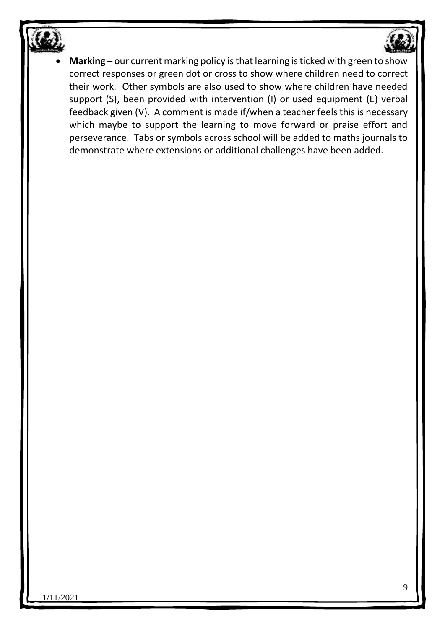

• **Marking** – our current marking policy is that learning is ticked with green to show correct responses or green dot or cross to show where children need to correct their work. Other symbols are also used to show where children have needed support (S), been provided with intervention (I) or used equipment (E) verbal feedback given (V). A comment is made if/when a teacher feels this is necessary which maybe to support the learning to move forward or praise effort and perseverance. Tabs or symbols across school will be added to maths journals to demonstrate where extensions or additional challenges have been added.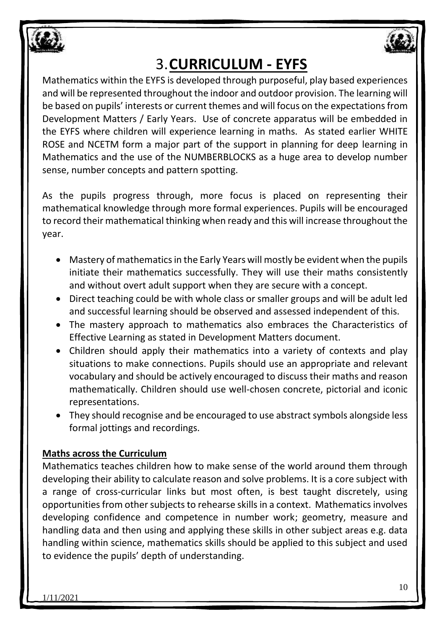



# 3.**CURRICULUM - EYFS**

Mathematics within the EYFS is developed through purposeful, play based experiences and will be represented throughout the indoor and outdoor provision. The learning will be based on pupils' interests or current themes and will focus on the expectations from Development Matters / Early Years. Use of concrete apparatus will be embedded in the EYFS where children will experience learning in maths. As stated earlier WHITE ROSE and NCETM form a major part of the support in planning for deep learning in Mathematics and the use of the NUMBERBLOCKS as a huge area to develop number sense, number concepts and pattern spotting.

As the pupils progress through, more focus is placed on representing their mathematical knowledge through more formal experiences. Pupils will be encouraged to record their mathematical thinking when ready and this will increase throughout the year.

- Mastery of mathematics in the Early Years will mostly be evident when the pupils initiate their mathematics successfully. They will use their maths consistently and without overt adult support when they are secure with a concept.
- Direct teaching could be with whole class or smaller groups and will be adult led and successful learning should be observed and assessed independent of this.
- The mastery approach to mathematics also embraces the Characteristics of Effective Learning as stated in Development Matters document.
- Children should apply their mathematics into a variety of contexts and play situations to make connections. Pupils should use an appropriate and relevant vocabulary and should be actively encouraged to discuss their maths and reason mathematically. Children should use well-chosen concrete, pictorial and iconic representations.
- They should recognise and be encouraged to use abstract symbols alongside less formal jottings and recordings.

### **Maths across the Curriculum**

Mathematics teaches children how to make sense of the world around them through developing their ability to calculate reason and solve problems. It is a core subject with a range of cross-curricular links but most often, is best taught discretely, using opportunities from other subjects to rehearse skills in a context. Mathematics involves developing confidence and competence in number work; geometry, measure and handling data and then using and applying these skills in other subject areas e.g. data handling within science, mathematics skills should be applied to this subject and used to evidence the pupils' depth of understanding.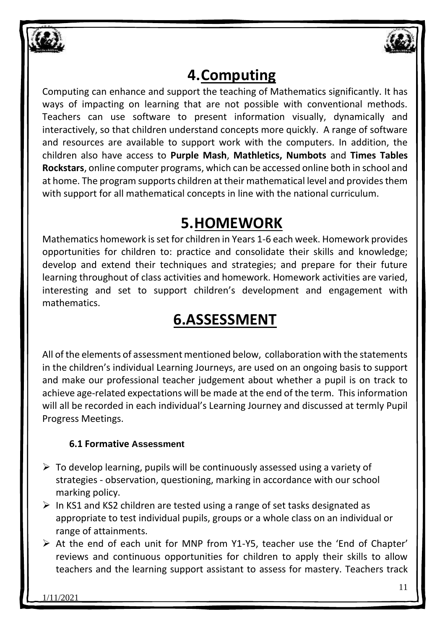



## **4.Computing**

Computing can enhance and support the teaching of Mathematics significantly. It has ways of impacting on learning that are not possible with conventional methods. Teachers can use software to present information visually, dynamically and interactively, so that children understand concepts more quickly. A range of software and resources are available to support work with the computers. In addition, the children also have access to **Purple Mash**, **Mathletics, Numbots** and **Times Tables Rockstars**, online computer programs, which can be accessed online both in school and at home. The program supports children at their mathematical level and provides them with support for all mathematical concepts in line with the national curriculum.

## **5.HOMEWORK**

Mathematics homework is set for children in Years 1-6 each week. Homework provides opportunities for children to: practice and consolidate their skills and knowledge; develop and extend their techniques and strategies; and prepare for their future learning throughout of class activities and homework. Homework activities are varied, interesting and set to support children's development and engagement with mathematics.

# **6.ASSESSMENT**

All of the elements of assessment mentioned below, collaboration with the statements in the children's individual Learning Journeys, are used on an ongoing basis to support and make our professional teacher judgement about whether a pupil is on track to achieve age-related expectations will be made at the end of the term. This information will all be recorded in each individual's Learning Journey and discussed at termly Pupil Progress Meetings.

### **6.1 Formative Assessment**

- $\triangleright$  To develop learning, pupils will be continuously assessed using a variety of strategies - observation, questioning, marking in accordance with our school marking policy.
- $\triangleright$  In KS1 and KS2 children are tested using a range of set tasks designated as appropriate to test individual pupils, groups or a whole class on an individual or range of attainments.
- ➢ At the end of each unit for MNP from Y1-Y5, teacher use the 'End of Chapter' reviews and continuous opportunities for children to apply their skills to allow teachers and the learning support assistant to assess for mastery. Teachers track

1/11/2021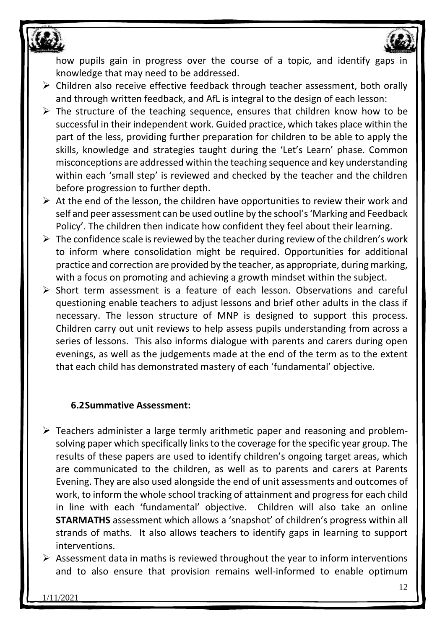

how pupils gain in progress over the course of a topic, and identify gaps in knowledge that may need to be addressed.

- ➢ Children also receive effective feedback through teacher assessment, both orally and through written feedback, and AfL is integral to the design of each lesson:
- $\triangleright$  The structure of the teaching sequence, ensures that children know how to be successful in their independent work. Guided practice, which takes place within the part of the less, providing further preparation for children to be able to apply the skills, knowledge and strategies taught during the 'Let's Learn' phase. Common misconceptions are addressed within the teaching sequence and key understanding within each 'small step' is reviewed and checked by the teacher and the children before progression to further depth.
- $\triangleright$  At the end of the lesson, the children have opportunities to review their work and self and peer assessment can be used outline by the school's 'Marking and Feedback Policy'. The children then indicate how confident they feel about their learning.
- $\triangleright$  The confidence scale is reviewed by the teacher during review of the children's work to inform where consolidation might be required. Opportunities for additional practice and correction are provided by the teacher, as appropriate, during marking, with a focus on promoting and achieving a growth mindset within the subject.
- ➢ Short term assessment is a feature of each lesson. Observations and careful questioning enable teachers to adjust lessons and brief other adults in the class if necessary. The lesson structure of MNP is designed to support this process. Children carry out unit reviews to help assess pupils understanding from across a series of lessons. This also informs dialogue with parents and carers during open evenings, as well as the judgements made at the end of the term as to the extent that each child has demonstrated mastery of each 'fundamental' objective.

#### **6.2Summative Assessment:**

- ➢ Teachers administer a large termly arithmetic paper and reasoning and problemsolving paper which specifically links to the coverage for the specific year group. The results of these papers are used to identify children's ongoing target areas, which are communicated to the children, as well as to parents and carers at Parents Evening. They are also used alongside the end of unit assessments and outcomes of work, to inform the whole school tracking of attainment and progress for each child in line with each 'fundamental' objective. Children will also take an online **STARMATHS** assessment which allows a 'snapshot' of children's progress within all strands of maths. It also allows teachers to identify gaps in learning to support interventions.
- $\triangleright$  Assessment data in maths is reviewed throughout the year to inform interventions and to also ensure that provision remains well-informed to enable optimum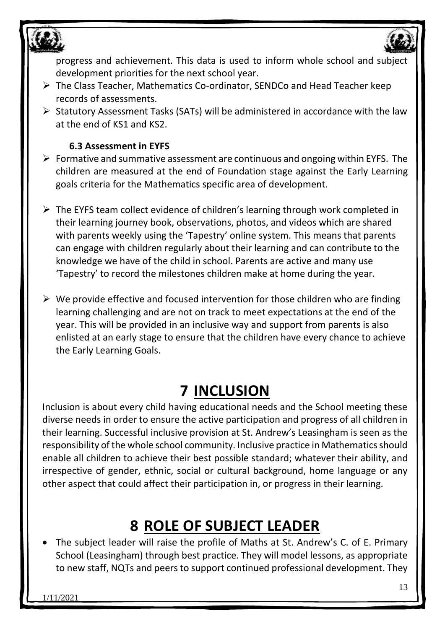

progress and achievement. This data is used to inform whole school and subject development priorities for the next school year.

- ➢ The Class Teacher, Mathematics Co-ordinator, SENDCo and Head Teacher keep records of assessments.
- ➢ Statutory Assessment Tasks (SATs) will be administered in accordance with the law at the end of KS1 and KS2.

#### **6.3 Assessment in EYFS**

- $\triangleright$  Formative and summative assessment are continuous and ongoing within EYFS. The children are measured at the end of Foundation stage against the Early Learning goals criteria for the Mathematics specific area of development.
- ➢ The EYFS team collect evidence of children's learning through work completed in their learning journey book, observations, photos, and videos which are shared with parents weekly using the 'Tapestry' online system. This means that parents can engage with children regularly about their learning and can contribute to the knowledge we have of the child in school. Parents are active and many use 'Tapestry' to record the milestones children make at home during the year.
- $\triangleright$  We provide effective and focused intervention for those children who are finding learning challenging and are not on track to meet expectations at the end of the year. This will be provided in an inclusive way and support from parents is also enlisted at an early stage to ensure that the children have every chance to achieve the Early Learning Goals.

## **7 INCLUSION**

Inclusion is about every child having educational needs and the School meeting these diverse needs in order to ensure the active participation and progress of all children in their learning. Successful inclusive provision at St. Andrew's Leasingham is seen as the responsibility of the whole school community. Inclusive practice in Mathematics should enable all children to achieve their best possible standard; whatever their ability, and irrespective of gender, ethnic, social or cultural background, home language or any other aspect that could affect their participation in, or progress in their learning.

# **8 ROLE OF SUBJECT LEADER**

The subject leader will raise the profile of Maths at St. Andrew's C. of E. Primary School (Leasingham) through best practice. They will model lessons, as appropriate to new staff, NQTs and peers to support continued professional development. They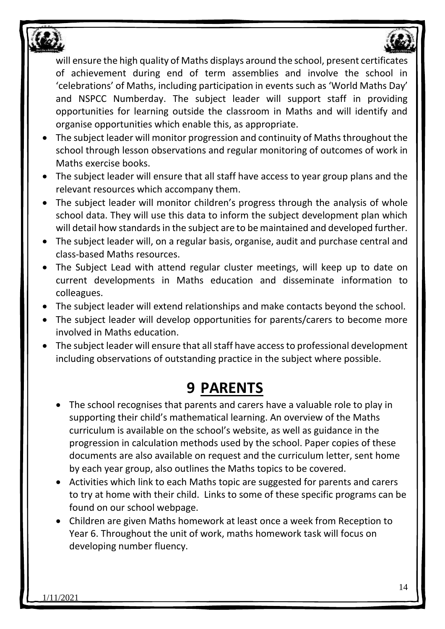

will ensure the high quality of Maths displays around the school, present certificates of achievement during end of term assemblies and involve the school in 'celebrations' of Maths, including participation in events such as 'World Maths Day' and NSPCC Numberday. The subject leader will support staff in providing opportunities for learning outside the classroom in Maths and will identify and organise opportunities which enable this, as appropriate.

- The subject leader will monitor progression and continuity of Maths throughout the school through lesson observations and regular monitoring of outcomes of work in Maths exercise books.
- The subject leader will ensure that all staff have access to year group plans and the relevant resources which accompany them.
- The subject leader will monitor children's progress through the analysis of whole school data. They will use this data to inform the subject development plan which will detail how standards in the subject are to be maintained and developed further.
- The subject leader will, on a regular basis, organise, audit and purchase central and class-based Maths resources.
- The Subject Lead with attend regular cluster meetings, will keep up to date on current developments in Maths education and disseminate information to colleagues.
- The subject leader will extend relationships and make contacts beyond the school.
- The subject leader will develop opportunities for parents/carers to become more involved in Maths education.
- The subject leader will ensure that all staff have access to professional development including observations of outstanding practice in the subject where possible.

## **9 PARENTS**

- The school recognises that parents and carers have a valuable role to play in supporting their child's mathematical learning. An overview of the Maths curriculum is available on the school's website, as well as guidance in the progression in calculation methods used by the school. Paper copies of these documents are also available on request and the curriculum letter, sent home by each year group, also outlines the Maths topics to be covered.
- Activities which link to each Maths topic are suggested for parents and carers to try at home with their child. Links to some of these specific programs can be found on our school webpage.
- Children are given Maths homework at least once a week from Reception to Year 6. Throughout the unit of work, maths homework task will focus on developing number fluency.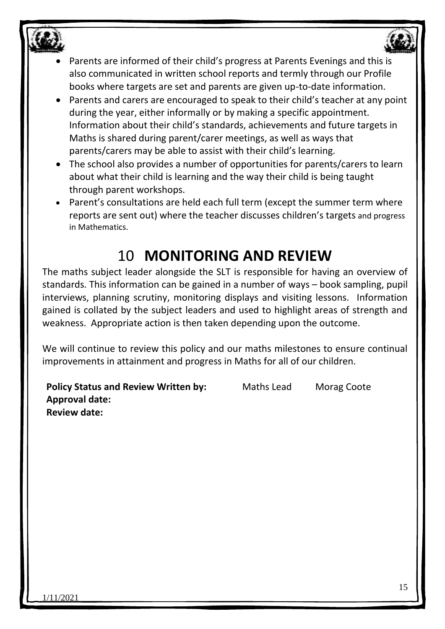

- Parents are informed of their child's progress at Parents Evenings and this is also communicated in written school reports and termly through our Profile books where targets are set and parents are given up-to-date information.
- Parents and carers are encouraged to speak to their child's teacher at any point during the year, either informally or by making a specific appointment. Information about their child's standards, achievements and future targets in Maths is shared during parent/carer meetings, as well as ways that parents/carers may be able to assist with their child's learning.
- The school also provides a number of opportunities for parents/carers to learn about what their child is learning and the way their child is being taught through parent workshops.
- Parent's consultations are held each full term (except the summer term where reports are sent out) where the teacher discusses children's targets and progress in Mathematics.

# 10 **MONITORING AND REVIEW**

The maths subject leader alongside the SLT is responsible for having an overview of standards. This information can be gained in a number of ways – book sampling, pupil interviews, planning scrutiny, monitoring displays and visiting lessons. Information gained is collated by the subject leaders and used to highlight areas of strength and weakness. Appropriate action is then taken depending upon the outcome.

We will continue to review this policy and our maths milestones to ensure continual improvements in attainment and progress in Maths for all of our children.

**Policy Status and Review Written by:** Maths Lead Morag Coote **Approval date: Review date:**